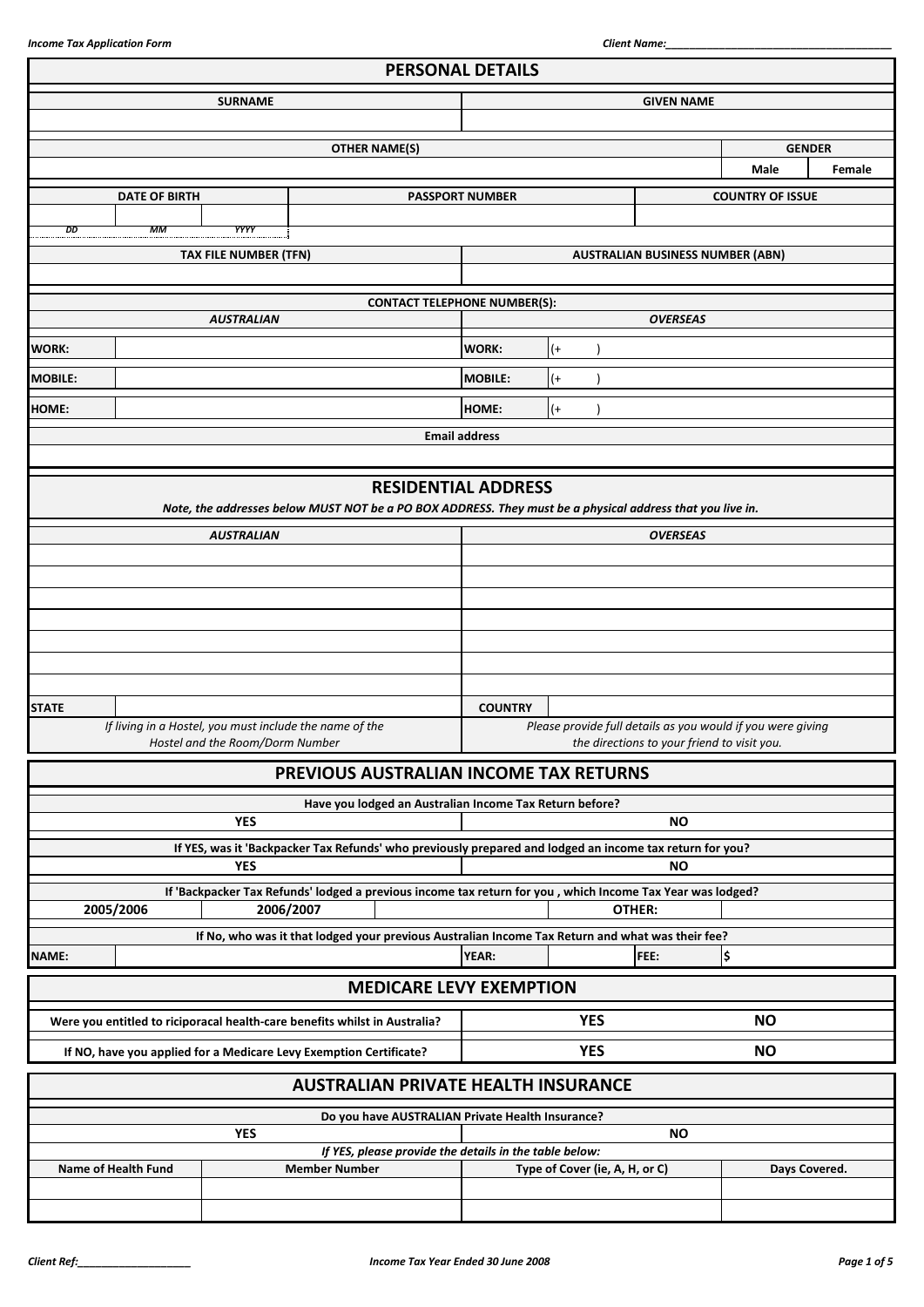|                | <b>PERSONAL DETAILS</b> |                                 |                                                                                                                         |                                                                               |                                |                                         |                         |        |
|----------------|-------------------------|---------------------------------|-------------------------------------------------------------------------------------------------------------------------|-------------------------------------------------------------------------------|--------------------------------|-----------------------------------------|-------------------------|--------|
|                |                         | <b>SURNAME</b>                  |                                                                                                                         | <b>GIVEN NAME</b>                                                             |                                |                                         |                         |        |
|                |                         |                                 |                                                                                                                         |                                                                               |                                |                                         |                         |        |
|                |                         |                                 | <b>OTHER NAME(S)</b>                                                                                                    |                                                                               |                                |                                         | <b>GENDER</b>           |        |
|                |                         |                                 |                                                                                                                         |                                                                               |                                |                                         | <b>Male</b>             | Female |
|                | <b>DATE OF BIRTH</b>    |                                 |                                                                                                                         | <b>PASSPORT NUMBER</b>                                                        |                                |                                         | <b>COUNTRY OF ISSUE</b> |        |
| DD             | МM                      | YYYY                            |                                                                                                                         |                                                                               |                                |                                         |                         |        |
|                |                         | <b>TAX FILE NUMBER (TFN)</b>    |                                                                                                                         |                                                                               |                                | <b>AUSTRALIAN BUSINESS NUMBER (ABN)</b> |                         |        |
|                |                         |                                 |                                                                                                                         |                                                                               |                                |                                         |                         |        |
|                |                         |                                 | <b>CONTACT TELEPHONE NUMBER(S):</b>                                                                                     |                                                                               |                                |                                         |                         |        |
|                |                         | <b>AUSTRALIAN</b>               |                                                                                                                         |                                                                               |                                | <b>OVERSEAS</b>                         |                         |        |
| <b>WORK:</b>   |                         |                                 |                                                                                                                         | <b>WORK:</b>                                                                  | $^{(+)}$                       |                                         |                         |        |
| <b>MOBILE:</b> |                         |                                 |                                                                                                                         | <b>MOBILE:</b>                                                                | $^{(+)}$                       |                                         |                         |        |
| <b>HOME:</b>   |                         |                                 |                                                                                                                         | HOME:                                                                         | $^{(+)}$                       |                                         |                         |        |
|                |                         |                                 |                                                                                                                         | <b>Email address</b>                                                          |                                |                                         |                         |        |
|                |                         |                                 |                                                                                                                         |                                                                               |                                |                                         |                         |        |
|                |                         |                                 | <b>RESIDENTIAL ADDRESS</b>                                                                                              |                                                                               |                                |                                         |                         |        |
|                |                         |                                 | Note, the addresses below MUST NOT be a PO BOX ADDRESS. They must be a physical address that you live in.               |                                                                               |                                |                                         |                         |        |
|                |                         | <b>AUSTRALIAN</b>               |                                                                                                                         |                                                                               |                                | <b>OVERSEAS</b>                         |                         |        |
|                |                         |                                 |                                                                                                                         |                                                                               |                                |                                         |                         |        |
|                |                         |                                 |                                                                                                                         |                                                                               |                                |                                         |                         |        |
|                |                         |                                 |                                                                                                                         |                                                                               |                                |                                         |                         |        |
|                |                         |                                 |                                                                                                                         |                                                                               |                                |                                         |                         |        |
|                |                         |                                 |                                                                                                                         |                                                                               |                                |                                         |                         |        |
|                |                         |                                 |                                                                                                                         |                                                                               |                                |                                         |                         |        |
| <b>STATE</b>   |                         |                                 | If living in a Hostel, you must include the name of the                                                                 | <b>COUNTRY</b><br>Please provide full details as you would if you were giving |                                |                                         |                         |        |
|                |                         | Hostel and the Room/Dorm Number |                                                                                                                         | the directions to your friend to visit you.                                   |                                |                                         |                         |        |
|                |                         |                                 | PREVIOUS AUSTRALIAN INCOME TAX RETURNS                                                                                  |                                                                               |                                |                                         |                         |        |
|                |                         |                                 | Have you lodged an Australian Income Tax Return before?                                                                 |                                                                               |                                |                                         |                         |        |
|                |                         | <b>YES</b>                      |                                                                                                                         | <b>NO</b>                                                                     |                                |                                         |                         |        |
|                |                         |                                 | If YES, was it 'Backpacker Tax Refunds' who previously prepared and lodged an income tax return for you?                |                                                                               |                                |                                         |                         |        |
|                |                         | <b>YES</b>                      |                                                                                                                         |                                                                               |                                | <b>NO</b>                               |                         |        |
|                | 2005/2006               |                                 | If 'Backpacker Tax Refunds' lodged a previous income tax return for you, which Income Tax Year was lodged?<br>2006/2007 |                                                                               |                                | OTHER:                                  |                         |        |
|                |                         |                                 | If No, who was it that lodged your previous Australian Income Tax Return and what was their fee?                        |                                                                               |                                |                                         |                         |        |
| NAME:          |                         |                                 |                                                                                                                         | YEAR:                                                                         |                                | FEE:                                    | ¦\$                     |        |
|                |                         |                                 | <b>MEDICARE LEVY EXEMPTION</b>                                                                                          |                                                                               |                                |                                         |                         |        |
|                |                         |                                 |                                                                                                                         |                                                                               |                                |                                         |                         |        |
|                |                         |                                 | Were you entitled to riciporacal health-care benefits whilst in Australia?                                              |                                                                               | <b>YES</b>                     |                                         | <b>NO</b>               |        |
|                |                         |                                 | If NO, have you applied for a Medicare Levy Exemption Certificate?                                                      |                                                                               | <b>YES</b>                     |                                         | <b>NO</b>               |        |
|                |                         |                                 | <b>AUSTRALIAN PRIVATE HEALTH INSURANCE</b>                                                                              |                                                                               |                                |                                         |                         |        |
|                |                         |                                 | Do you have AUSTRALIAN Private Health Insurance?                                                                        |                                                                               |                                |                                         |                         |        |
|                |                         | <b>YES</b>                      |                                                                                                                         |                                                                               |                                | <b>NO</b>                               |                         |        |
|                |                         |                                 | If YES, please provide the details in the table below:                                                                  |                                                                               |                                |                                         |                         |        |
|                | Name of Health Fund     |                                 | <b>Member Number</b>                                                                                                    |                                                                               | Type of Cover (ie, A, H, or C) |                                         | Days Covered.           |        |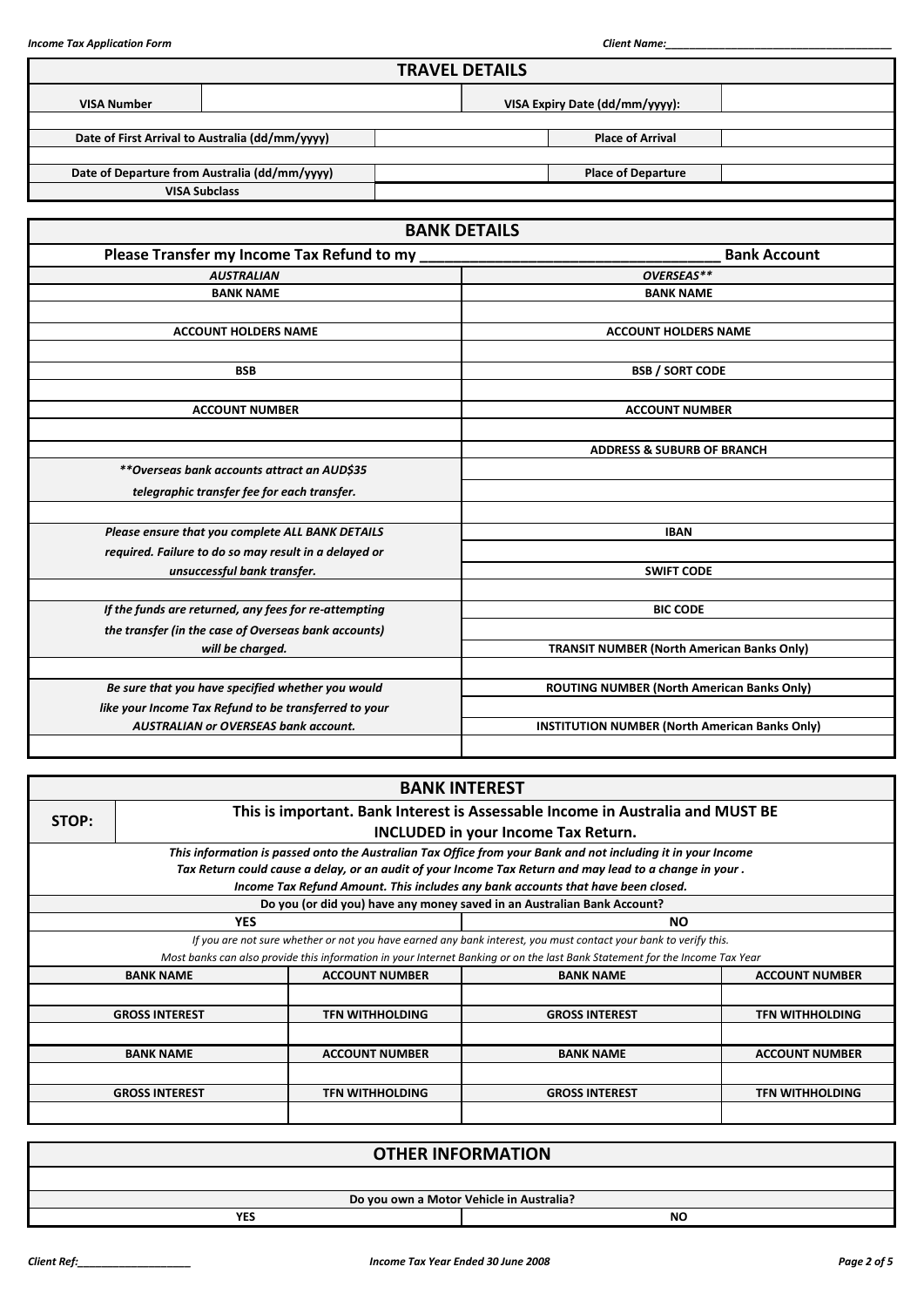|                    |                                                       | <b>TRAVEL DETAILS</b> |                                                       |                     |  |  |
|--------------------|-------------------------------------------------------|-----------------------|-------------------------------------------------------|---------------------|--|--|
| <b>VISA Number</b> |                                                       |                       | VISA Expiry Date (dd/mm/yyyy):                        |                     |  |  |
|                    | Date of First Arrival to Australia (dd/mm/yyyy)       |                       | <b>Place of Arrival</b>                               |                     |  |  |
|                    | Date of Departure from Australia (dd/mm/yyyy)         |                       | <b>Place of Departure</b>                             |                     |  |  |
|                    | <b>VISA Subclass</b>                                  |                       |                                                       |                     |  |  |
|                    |                                                       | <b>BANK DETAILS</b>   |                                                       |                     |  |  |
|                    | Please Transfer my Income Tax Refund to my            |                       |                                                       | <b>Bank Account</b> |  |  |
|                    | <b>AUSTRALIAN</b>                                     |                       | OVERSEAS**                                            |                     |  |  |
|                    | <b>BANK NAME</b>                                      |                       | <b>BANK NAME</b>                                      |                     |  |  |
|                    |                                                       |                       |                                                       |                     |  |  |
|                    | <b>ACCOUNT HOLDERS NAME</b>                           |                       | <b>ACCOUNT HOLDERS NAME</b>                           |                     |  |  |
|                    |                                                       |                       |                                                       |                     |  |  |
|                    | <b>BSB</b>                                            |                       | <b>BSB / SORT CODE</b>                                |                     |  |  |
|                    |                                                       |                       |                                                       |                     |  |  |
|                    | <b>ACCOUNT NUMBER</b>                                 | <b>ACCOUNT NUMBER</b> |                                                       |                     |  |  |
|                    |                                                       |                       |                                                       |                     |  |  |
|                    |                                                       |                       | <b>ADDRESS &amp; SUBURB OF BRANCH</b>                 |                     |  |  |
|                    | **Overseas bank accounts attract an AUD\$35           |                       |                                                       |                     |  |  |
|                    | telegraphic transfer fee for each transfer.           |                       |                                                       |                     |  |  |
|                    | Please ensure that you complete ALL BANK DETAILS      |                       | <b>IBAN</b>                                           |                     |  |  |
|                    | required. Failure to do so may result in a delayed or |                       |                                                       |                     |  |  |
|                    | unsuccessful bank transfer.                           | <b>SWIFT CODE</b>     |                                                       |                     |  |  |
|                    |                                                       |                       |                                                       |                     |  |  |
|                    | If the funds are returned, any fees for re-attempting |                       | <b>BIC CODE</b>                                       |                     |  |  |
|                    | the transfer (in the case of Overseas bank accounts)  |                       |                                                       |                     |  |  |
|                    | will be charged.                                      |                       | <b>TRANSIT NUMBER (North American Banks Only)</b>     |                     |  |  |
|                    |                                                       |                       |                                                       |                     |  |  |
|                    | Be sure that you have specified whether you would     |                       | ROUTING NUMBER (North American Banks Only)            |                     |  |  |
|                    | like your Income Tax Refund to be transferred to your |                       |                                                       |                     |  |  |
|                    | <b>AUSTRALIAN or OVERSEAS bank account.</b>           |                       | <b>INSTITUTION NUMBER (North American Banks Only)</b> |                     |  |  |
|                    |                                                       |                       |                                                       |                     |  |  |

|       |                                                                                |                        | <b>BANK INTEREST</b>                                                                                                        |                        |  |  |  |  |  |
|-------|--------------------------------------------------------------------------------|------------------------|-----------------------------------------------------------------------------------------------------------------------------|------------------------|--|--|--|--|--|
| STOP: | This is important. Bank Interest is Assessable Income in Australia and MUST BE |                        |                                                                                                                             |                        |  |  |  |  |  |
|       |                                                                                |                        | <b>INCLUDED in your Income Tax Return.</b>                                                                                  |                        |  |  |  |  |  |
|       |                                                                                |                        | This information is passed onto the Australian Tax Office from your Bank and not including it in your Income                |                        |  |  |  |  |  |
|       |                                                                                |                        | Tax Return could cause a delay, or an audit of your Income Tax Return and may lead to a change in your .                    |                        |  |  |  |  |  |
|       |                                                                                |                        | Income Tax Refund Amount. This includes any bank accounts that have been closed.                                            |                        |  |  |  |  |  |
|       |                                                                                |                        | Do you (or did you) have any money saved in an Australian Bank Account?                                                     |                        |  |  |  |  |  |
|       | <b>YES</b>                                                                     |                        | <b>NO</b>                                                                                                                   |                        |  |  |  |  |  |
|       |                                                                                |                        | If you are not sure whether or not you have earned any bank interest, you must contact your bank to verify this.            |                        |  |  |  |  |  |
|       |                                                                                |                        | Most banks can also provide this information in your Internet Banking or on the last Bank Statement for the Income Tax Year |                        |  |  |  |  |  |
|       | <b>BANK NAME</b>                                                               | <b>ACCOUNT NUMBER</b>  | <b>BANK NAME</b>                                                                                                            | <b>ACCOUNT NUMBER</b>  |  |  |  |  |  |
|       |                                                                                |                        |                                                                                                                             |                        |  |  |  |  |  |
|       | <b>GROSS INTEREST</b>                                                          | <b>TFN WITHHOLDING</b> | <b>GROSS INTEREST</b>                                                                                                       | <b>TFN WITHHOLDING</b> |  |  |  |  |  |
|       |                                                                                |                        |                                                                                                                             |                        |  |  |  |  |  |
|       | <b>BANK NAME</b>                                                               | <b>ACCOUNT NUMBER</b>  | <b>BANK NAME</b>                                                                                                            | <b>ACCOUNT NUMBER</b>  |  |  |  |  |  |
|       |                                                                                |                        |                                                                                                                             |                        |  |  |  |  |  |
|       | <b>GROSS INTEREST</b>                                                          | <b>TFN WITHHOLDING</b> | <b>GROSS INTEREST</b>                                                                                                       | <b>TFN WITHHOLDING</b> |  |  |  |  |  |
|       |                                                                                |                        |                                                                                                                             |                        |  |  |  |  |  |

|            | <b>OTHER INFORMATION</b>                 |
|------------|------------------------------------------|
|            |                                          |
|            | Do you own a Motor Vehicle in Australia? |
| <b>YES</b> | <b>NO</b>                                |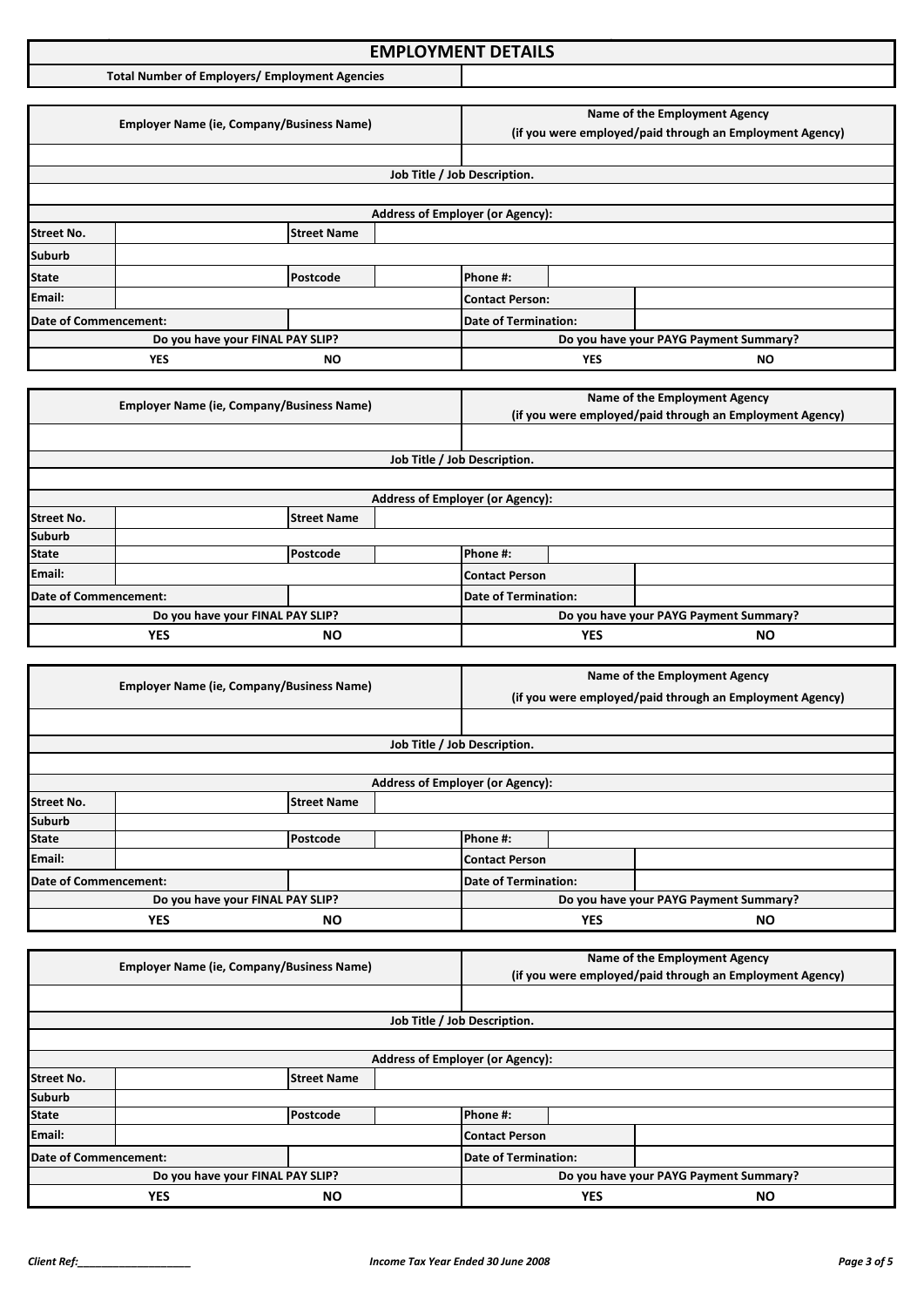### **Income Tax Application Format: EMPLOYMENT DETAILS**

**Total Number of Employers/ Employment Agencies**

|                       | <b>Employer Name (ie, Company/Business Name)</b> |                                                                                                                  |  | Name of the Employment Agency<br>(if you were employed/paid through an Employment Agency) |            |                                        |
|-----------------------|--------------------------------------------------|------------------------------------------------------------------------------------------------------------------|--|-------------------------------------------------------------------------------------------|------------|----------------------------------------|
|                       |                                                  |                                                                                                                  |  |                                                                                           |            |                                        |
|                       |                                                  |                                                                                                                  |  | Job Title / Job Description.                                                              |            |                                        |
|                       |                                                  |                                                                                                                  |  |                                                                                           |            |                                        |
|                       |                                                  |                                                                                                                  |  | <b>Address of Employer (or Agency):</b>                                                   |            |                                        |
| <b>Street No.</b>     |                                                  | <b>Street Name</b>                                                                                               |  |                                                                                           |            |                                        |
| <b>Suburb</b>         |                                                  |                                                                                                                  |  |                                                                                           |            |                                        |
| <b>State</b>          |                                                  | Postcode                                                                                                         |  | Phone #:                                                                                  |            |                                        |
| Email:                |                                                  |                                                                                                                  |  | <b>Contact Person:</b>                                                                    |            |                                        |
| Date of Commencement: |                                                  |                                                                                                                  |  | <b>Date of Termination:</b>                                                               |            |                                        |
|                       |                                                  | Do you have your FINAL PAY SLIP?                                                                                 |  |                                                                                           |            | Do you have your PAYG Payment Summary? |
|                       | <b>YES</b>                                       | ΝO                                                                                                               |  |                                                                                           | <b>YES</b> | ΝO                                     |
|                       |                                                  |                                                                                                                  |  |                                                                                           |            |                                        |
|                       |                                                  | $F_{\text{model}}$ . The Mean of $F_{\text{model}}$ is the contract of $F_{\text{model}}$ and $F_{\text{model}}$ |  |                                                                                           |            | Name of the Employment Agency          |

|                         | <b>Employer Name (ie, Company/Business Name)</b> |                    |  |                                         |           | (if you were employed/paid through an Employment Agency) |
|-------------------------|--------------------------------------------------|--------------------|--|-----------------------------------------|-----------|----------------------------------------------------------|
|                         |                                                  |                    |  |                                         |           |                                                          |
|                         |                                                  |                    |  | Job Title / Job Description.            |           |                                                          |
|                         |                                                  |                    |  |                                         |           |                                                          |
|                         |                                                  |                    |  | <b>Address of Employer (or Agency):</b> |           |                                                          |
| <b>Street No.</b>       |                                                  | <b>Street Name</b> |  |                                         |           |                                                          |
| <b>Suburb</b>           |                                                  |                    |  |                                         |           |                                                          |
| <b>State</b>            |                                                  | Postcode           |  | Phone #:                                |           |                                                          |
| Email:                  |                                                  |                    |  | Contact Person                          |           |                                                          |
| Date of Commencement:   |                                                  |                    |  | Date of Termination:                    |           |                                                          |
|                         | Do you have your FINAL PAY SLIP?                 |                    |  |                                         |           | Do you have your PAYG Payment Summary?                   |
| <b>YES</b><br><b>NO</b> |                                                  |                    |  | <b>YES</b>                              | <b>NO</b> |                                                          |

|                       | <b>Employer Name (ie, Company/Business Name)</b> |                      | Name of the Employment Agency |                                                          |  |                                        |
|-----------------------|--------------------------------------------------|----------------------|-------------------------------|----------------------------------------------------------|--|----------------------------------------|
|                       |                                                  |                      |                               | (if you were employed/paid through an Employment Agency) |  |                                        |
|                       |                                                  |                      |                               |                                                          |  |                                        |
|                       |                                                  |                      |                               | Job Title / Job Description.                             |  |                                        |
|                       |                                                  |                      |                               |                                                          |  |                                        |
|                       |                                                  |                      |                               | <b>Address of Employer (or Agency):</b>                  |  |                                        |
| <b>Street No.</b>     |                                                  | <b>Street Name</b>   |                               |                                                          |  |                                        |
| <b>Suburb</b>         |                                                  |                      |                               |                                                          |  |                                        |
| <b>State</b>          |                                                  | Postcode             |                               | Phone #:                                                 |  |                                        |
| Email:                |                                                  |                      |                               | Contact Person                                           |  |                                        |
| Date of Commencement: |                                                  | Date of Termination: |                               |                                                          |  |                                        |
|                       | Do you have your FINAL PAY SLIP?                 |                      |                               |                                                          |  | Do you have your PAYG Payment Summary? |
| <b>YES</b><br>NΟ      |                                                  |                      | <b>YES</b>                    | <b>NO</b>                                                |  |                                        |

|                                  | <b>Employer Name (ie, Company/Business Name)</b> |                             |                                         | Name of the Employment Agency                            |  |  |
|----------------------------------|--------------------------------------------------|-----------------------------|-----------------------------------------|----------------------------------------------------------|--|--|
|                                  |                                                  |                             |                                         | (if you were employed/paid through an Employment Agency) |  |  |
|                                  |                                                  |                             |                                         |                                                          |  |  |
|                                  |                                                  |                             |                                         | Job Title / Job Description.                             |  |  |
|                                  |                                                  |                             |                                         |                                                          |  |  |
|                                  |                                                  |                             | <b>Address of Employer (or Agency):</b> |                                                          |  |  |
| <b>Street No.</b>                |                                                  | <b>Street Name</b>          |                                         |                                                          |  |  |
| <b>Suburb</b>                    |                                                  |                             |                                         |                                                          |  |  |
| <b>State</b>                     |                                                  | Postcode                    |                                         | Phone #:                                                 |  |  |
| Email:                           |                                                  |                             |                                         | Contact Person                                           |  |  |
| Date of Commencement:            |                                                  | <b>Date of Termination:</b> |                                         |                                                          |  |  |
| Do you have your FINAL PAY SLIP? |                                                  |                             |                                         | Do you have your PAYG Payment Summary?                   |  |  |
| <b>YES</b><br><b>NO</b>          |                                                  |                             | <b>YES</b>                              | <b>NO</b>                                                |  |  |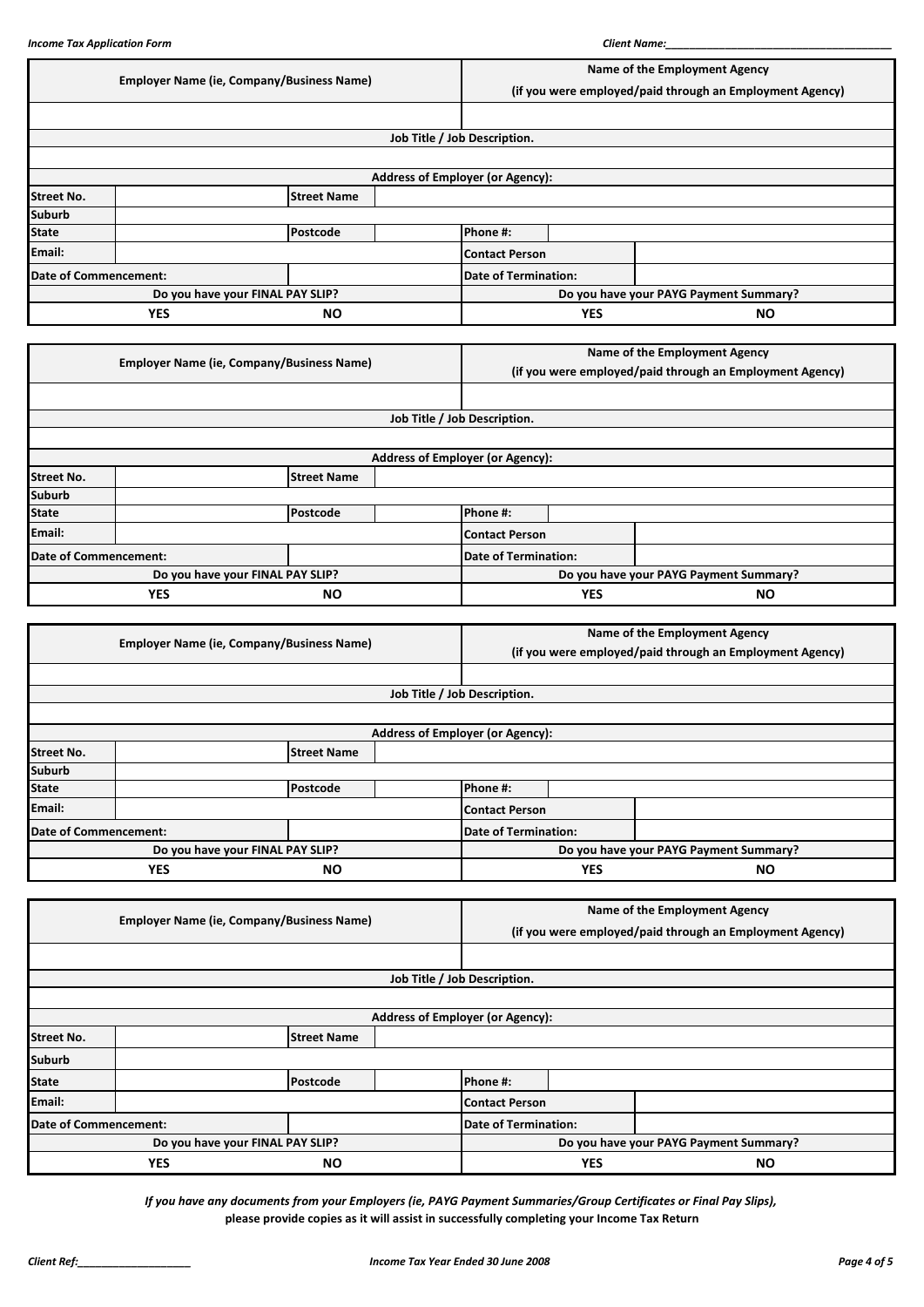|                                  | <b>Employer Name (ie, Company/Business Name)</b> |                                                  |  | Name of the Employment Agency                            |            |                               |
|----------------------------------|--------------------------------------------------|--------------------------------------------------|--|----------------------------------------------------------|------------|-------------------------------|
|                                  |                                                  |                                                  |  | (if you were employed/paid through an Employment Agency) |            |                               |
|                                  |                                                  |                                                  |  |                                                          |            |                               |
|                                  |                                                  |                                                  |  | Job Title / Job Description.                             |            |                               |
|                                  |                                                  |                                                  |  |                                                          |            |                               |
|                                  |                                                  |                                                  |  | <b>Address of Employer (or Agency):</b>                  |            |                               |
| <b>Street No.</b>                |                                                  | <b>Street Name</b>                               |  |                                                          |            |                               |
| <b>Suburb</b>                    |                                                  |                                                  |  |                                                          |            |                               |
| <b>State</b>                     |                                                  | Postcode                                         |  | Phone #:                                                 |            |                               |
| Email:                           |                                                  |                                                  |  | <b>Contact Person</b>                                    |            |                               |
| <b>Date of Commencement:</b>     |                                                  |                                                  |  | <b>Date of Termination:</b>                              |            |                               |
|                                  |                                                  | Do you have your FINAL PAY SLIP?                 |  | Do you have your PAYG Payment Summary?                   |            |                               |
|                                  | <b>YES</b>                                       | <b>NO</b>                                        |  |                                                          | <b>YES</b> | <b>NO</b>                     |
|                                  |                                                  |                                                  |  |                                                          |            |                               |
|                                  |                                                  | <b>Employer Name (ie, Company/Business Name)</b> |  |                                                          |            | Name of the Employment Agency |
|                                  |                                                  |                                                  |  | (if you were employed/paid through an Employment Agency) |            |                               |
|                                  |                                                  |                                                  |  |                                                          |            |                               |
|                                  |                                                  |                                                  |  | Job Title / Job Description.                             |            |                               |
|                                  |                                                  |                                                  |  |                                                          |            |                               |
|                                  |                                                  |                                                  |  | <b>Address of Employer (or Agency):</b>                  |            |                               |
| <b>Street No.</b>                |                                                  | <b>Street Name</b>                               |  |                                                          |            |                               |
| <b>Suburb</b>                    |                                                  |                                                  |  |                                                          |            |                               |
| <b>State</b>                     |                                                  | Postcode                                         |  | Phone #:                                                 |            |                               |
| Email:                           |                                                  |                                                  |  | <b>Contact Person</b>                                    |            |                               |
| Date of Commencement:            |                                                  |                                                  |  | <b>Date of Termination:</b>                              |            |                               |
| Do you have your FINAL PAY SLIP? |                                                  |                                                  |  | Do you have your PAYG Payment Summary?                   |            |                               |
|                                  | <b>YES</b><br><b>NO</b>                          |                                                  |  |                                                          |            |                               |

|                         | <b>Employer Name (ie, Company/Business Name)</b> |                    |                                         | Name of the Employment Agency |                                        |                                                          |
|-------------------------|--------------------------------------------------|--------------------|-----------------------------------------|-------------------------------|----------------------------------------|----------------------------------------------------------|
|                         |                                                  |                    |                                         |                               |                                        | (if you were employed/paid through an Employment Agency) |
|                         |                                                  |                    |                                         |                               |                                        |                                                          |
|                         |                                                  |                    |                                         | Job Title / Job Description.  |                                        |                                                          |
|                         |                                                  |                    |                                         |                               |                                        |                                                          |
|                         |                                                  |                    | <b>Address of Employer (or Agency):</b> |                               |                                        |                                                          |
| <b>Street No.</b>       |                                                  | <b>Street Name</b> |                                         |                               |                                        |                                                          |
| <b>Suburb</b>           |                                                  |                    |                                         |                               |                                        |                                                          |
| <b>State</b>            |                                                  | Postcode           |                                         | Phone #:                      |                                        |                                                          |
| Email:                  |                                                  |                    |                                         | <b>Contact Person</b>         |                                        |                                                          |
|                         | Date of Commencement:                            |                    |                                         | <b>Date of Termination:</b>   |                                        |                                                          |
|                         | Do you have your FINAL PAY SLIP?                 |                    |                                         |                               | Do you have your PAYG Payment Summary? |                                                          |
| <b>YES</b><br><b>NO</b> |                                                  |                    | <b>YES</b>                              | <b>NO</b>                     |                                        |                                                          |

|                         | <b>Employer Name (ie, Company/Business Name)</b> |                    |                                         | Name of the Employment Agency          |                                                          |  |
|-------------------------|--------------------------------------------------|--------------------|-----------------------------------------|----------------------------------------|----------------------------------------------------------|--|
|                         |                                                  |                    |                                         |                                        | (if you were employed/paid through an Employment Agency) |  |
|                         |                                                  |                    |                                         |                                        |                                                          |  |
|                         |                                                  |                    |                                         | Job Title / Job Description.           |                                                          |  |
|                         |                                                  |                    |                                         |                                        |                                                          |  |
|                         |                                                  |                    | <b>Address of Employer (or Agency):</b> |                                        |                                                          |  |
| <b>Street No.</b>       |                                                  | <b>Street Name</b> |                                         |                                        |                                                          |  |
| <b>Suburb</b>           |                                                  |                    |                                         |                                        |                                                          |  |
| <b>State</b>            |                                                  | Postcode           |                                         | Phone #:                               |                                                          |  |
| Email:                  |                                                  |                    |                                         | <b>Contact Person</b>                  |                                                          |  |
|                         | Date of Commencement:                            |                    | <b>Date of Termination:</b>             |                                        |                                                          |  |
|                         | Do you have your FINAL PAY SLIP?                 |                    |                                         | Do you have your PAYG Payment Summary? |                                                          |  |
| <b>YES</b><br><b>NO</b> |                                                  |                    |                                         | <b>YES</b>                             | <b>NO</b>                                                |  |

*If you have any documents from your Employers (ie, PAYG Payment Summaries/Group Certificates or Final Pay Slips),* **please provide copies as it will assist in successfully completing your Income Tax Return**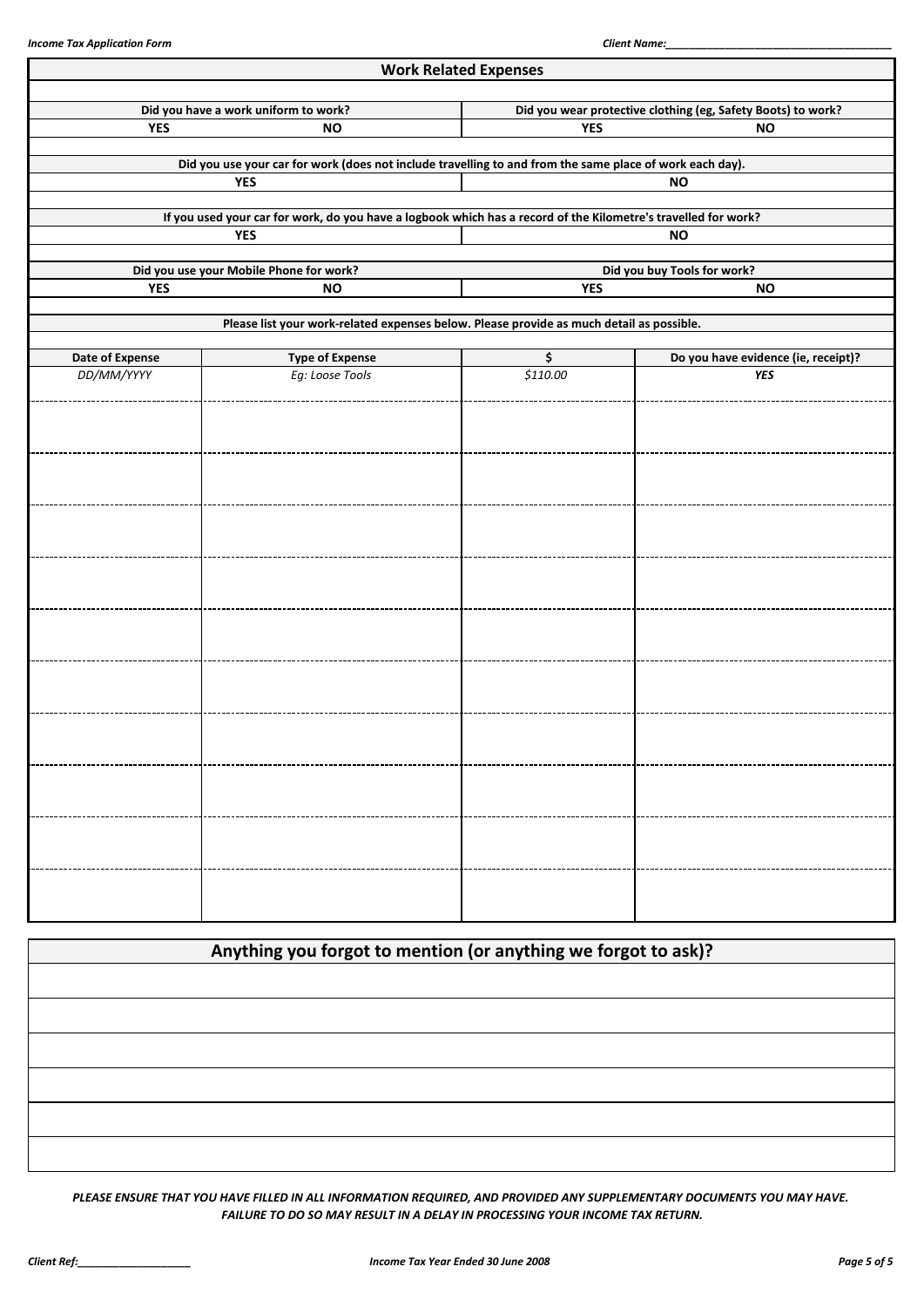|                        |                                                                                                                | <b>Work Related Expenses</b> |                                                              |  |  |  |
|------------------------|----------------------------------------------------------------------------------------------------------------|------------------------------|--------------------------------------------------------------|--|--|--|
|                        | Did you have a work uniform to work?                                                                           |                              | Did you wear protective clothing (eg, Safety Boots) to work? |  |  |  |
| <b>YES</b>             | <b>NO</b>                                                                                                      | <b>YES</b><br><b>NO</b>      |                                                              |  |  |  |
|                        | Did you use your car for work (does not include travelling to and from the same place of work each day).       |                              |                                                              |  |  |  |
|                        | <b>YES</b>                                                                                                     |                              | <b>NO</b>                                                    |  |  |  |
|                        | If you used your car for work, do you have a logbook which has a record of the Kilometre's travelled for work? |                              |                                                              |  |  |  |
|                        | <b>YES</b>                                                                                                     |                              | <b>NO</b>                                                    |  |  |  |
|                        | Did you use your Mobile Phone for work?                                                                        |                              | Did you buy Tools for work?                                  |  |  |  |
| <b>YES</b>             | <b>NO</b>                                                                                                      | <b>YES</b>                   | <b>NO</b>                                                    |  |  |  |
|                        | Please list your work-related expenses below. Please provide as much detail as possible.                       |                              |                                                              |  |  |  |
| <b>Date of Expense</b> | <b>Type of Expense</b>                                                                                         | \$                           | Do you have evidence (ie, receipt)?                          |  |  |  |
| DD/MM/YYYY             | Eg: Loose Tools                                                                                                | \$110.00                     | <b>YES</b>                                                   |  |  |  |
|                        |                                                                                                                |                              |                                                              |  |  |  |
|                        |                                                                                                                |                              |                                                              |  |  |  |
|                        |                                                                                                                |                              |                                                              |  |  |  |
|                        |                                                                                                                |                              |                                                              |  |  |  |
|                        |                                                                                                                |                              |                                                              |  |  |  |
|                        |                                                                                                                |                              |                                                              |  |  |  |
|                        |                                                                                                                |                              |                                                              |  |  |  |
|                        |                                                                                                                |                              |                                                              |  |  |  |
|                        |                                                                                                                |                              |                                                              |  |  |  |
|                        |                                                                                                                |                              |                                                              |  |  |  |
|                        |                                                                                                                |                              |                                                              |  |  |  |
|                        |                                                                                                                |                              |                                                              |  |  |  |
|                        |                                                                                                                |                              |                                                              |  |  |  |
|                        |                                                                                                                |                              |                                                              |  |  |  |
|                        |                                                                                                                |                              |                                                              |  |  |  |
|                        |                                                                                                                |                              |                                                              |  |  |  |
|                        |                                                                                                                |                              |                                                              |  |  |  |
|                        |                                                                                                                |                              |                                                              |  |  |  |
|                        |                                                                                                                |                              |                                                              |  |  |  |
|                        |                                                                                                                |                              |                                                              |  |  |  |

| Anything you forgot to mention (or anything we forgot to ask)? |  |
|----------------------------------------------------------------|--|
|                                                                |  |
|                                                                |  |
|                                                                |  |
|                                                                |  |
|                                                                |  |
|                                                                |  |

*PLEASE ENSURE THAT YOU HAVE FILLED IN ALL INFORMATION REQUIRED, AND PROVIDED ANY SUPPLEMENTARY DOCUMENTS YOU MAY HAVE. FAILURE TO DO SO MAY RESULT IN A DELAY IN PROCESSING YOUR INCOME TAX RETURN.*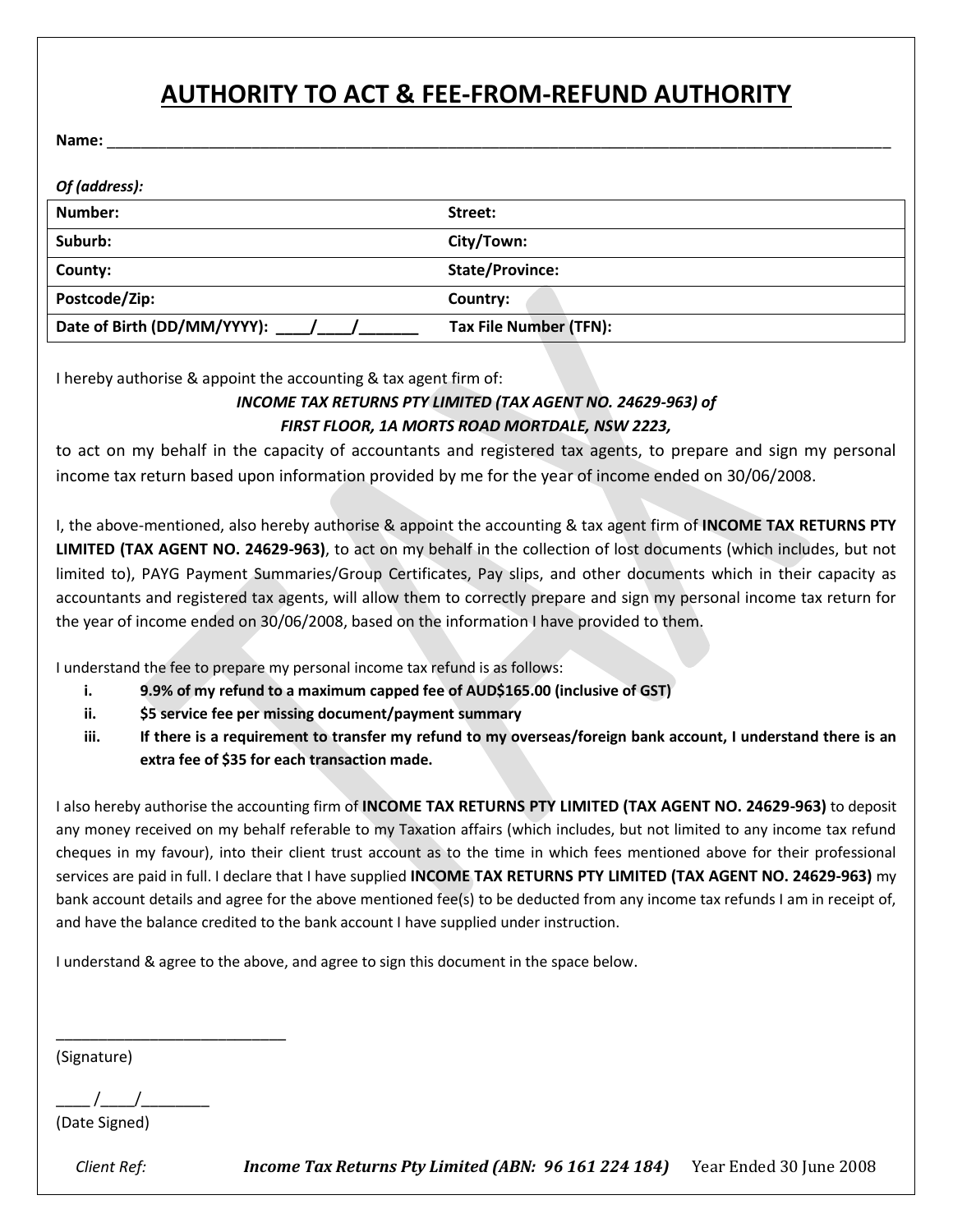# **AUTHORITY TO ACT & FEE-FROM-REFUND AUTHORITY**

**Name:** \_\_\_\_\_\_\_\_\_\_\_\_\_\_\_\_\_\_\_\_\_\_\_\_\_\_\_\_\_\_\_\_\_\_\_\_\_\_\_\_\_\_\_\_\_\_\_\_\_\_\_\_\_\_\_\_\_\_\_\_\_\_\_\_\_\_\_\_\_\_\_\_\_\_\_\_\_\_\_\_\_\_\_\_\_\_\_\_\_\_\_\_

| Of (address):               |                        |
|-----------------------------|------------------------|
| Number:                     | Street:                |
| Suburb:                     | City/Town:             |
| County:                     | <b>State/Province:</b> |
| Postcode/Zip:               | Country:               |
| Date of Birth (DD/MM/YYYY): | Tax File Number (TFN): |

I hereby authorise & appoint the accounting & tax agent firm of:

#### *INCOME TAX RETURNS PTY LIMITED (TAX AGENT NO. 24629-963) of FIRST FLOOR, 1A MORTS ROAD MORTDALE, NSW 2223,*

to act on my behalf in the capacity of accountants and registered tax agents, to prepare and sign my personal income tax return based upon information provided by me for the year of income ended on 30/06/2008.

I, the above-mentioned, also hereby authorise & appoint the accounting & tax agent firm of **INCOME TAX RETURNS PTY LIMITED (TAX AGENT NO. 24629-963)**, to act on my behalf in the collection of lost documents (which includes, but not limited to), PAYG Payment Summaries/Group Certificates, Pay slips, and other documents which in their capacity as accountants and registered tax agents, will allow them to correctly prepare and sign my personal income tax return for the year of income ended on 30/06/2008, based on the information I have provided to them.

I understand the fee to prepare my personal income tax refund is as follows:

- **i. 9.9% of my refund to a maximum capped fee of AUD\$165.00 (inclusive of GST)**
- **ii. \$5 service fee per missing document/payment summary**
- **iii. If there is a requirement to transfer my refund to my overseas/foreign bank account, I understand there is an extra fee of \$35 for each transaction made.**

I also hereby authorise the accounting firm of **INCOME TAX RETURNS PTY LIMITED (TAX AGENT NO. 24629-963)** to deposit any money received on my behalf referable to my Taxation affairs (which includes, but not limited to any income tax refund cheques in my favour), into their client trust account as to the time in which fees mentioned above for their professional services are paid in full. I declare that I have supplied **INCOME TAX RETURNS PTY LIMITED (TAX AGENT NO. 24629-963)** my bank account details and agree for the above mentioned fee(s) to be deducted from any income tax refunds I am in receipt of, and have the balance credited to the bank account I have supplied under instruction.

I understand & agree to the above, and agree to sign this document in the space below.

(Signature)

 $\frac{1}{2}$  /

\_\_\_\_\_\_\_\_\_\_\_\_\_\_\_\_\_\_\_\_\_\_\_\_\_\_\_

(Date Signed)